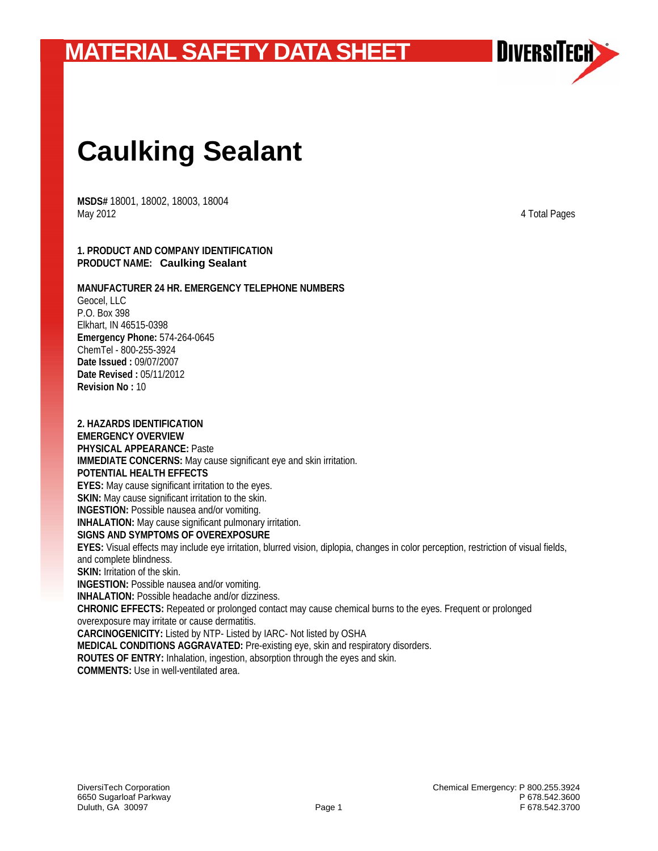

# **Caulking Sealant**

**MSDS#** 18001, 18002, 18003, 18004 May 2012 4 Total Pages

#### **1. PRODUCT AND COMPANY IDENTIFICATION PRODUCT NAME: Caulking Sealant**

#### **MANUFACTURER 24 HR. EMERGENCY TELEPHONE NUMBERS**

Geocel, LLC P.O. Box 398 Elkhart, IN 46515-0398 **Emergency Phone:** 574-264-0645 ChemTel - 800-255-3924 **Date Issued :** 09/07/2007 **Date Revised :** 05/11/2012 **Revision No :** 10

**2. HAZARDS IDENTIFICATION EMERGENCY OVERVIEW PHYSICAL APPEARANCE:** Paste **IMMEDIATE CONCERNS:** May cause significant eye and skin irritation. **POTENTIAL HEALTH EFFECTS EYES:** May cause significant irritation to the eyes. **SKIN:** May cause significant irritation to the skin. **INGESTION:** Possible nausea and/or vomiting. **INHALATION:** May cause significant pulmonary irritation. **SIGNS AND SYMPTOMS OF OVEREXPOSURE EYES:** Visual effects may include eye irritation, blurred vision, diplopia, changes in color perception, restriction of visual fields, and complete blindness. **SKIN: Irritation of the skin. INGESTION:** Possible nausea and/or vomiting. **INHALATION:** Possible headache and/or dizziness. **CHRONIC EFFECTS:** Repeated or prolonged contact may cause chemical burns to the eyes. Frequent or prolonged overexposure may irritate or cause dermatitis. **CARCINOGENICITY:** Listed by NTP- Listed by IARC- Not listed by OSHA **MEDICAL CONDITIONS AGGRAVATED:** Pre-existing eye, skin and respiratory disorders. **ROUTES OF ENTRY:** Inhalation, ingestion, absorption through the eyes and skin. **COMMENTS:** Use in well-ventilated area.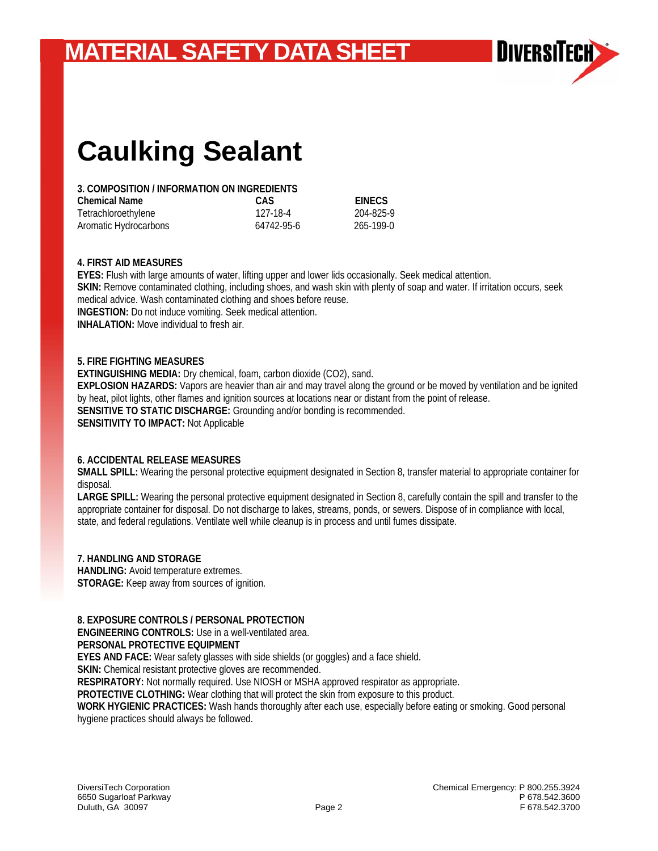

# **Caulking Sealant**

### **3. COMPOSITION / INFORMATION ON INGREDIENTS**

| <b>Chemical Name</b>  | CAS        | <b>EINECS</b> |
|-----------------------|------------|---------------|
| Tetrachloroethylene   | 127-18-4   | 204-825-9     |
| Aromatic Hydrocarbons | 64742-95-6 | 265-199-0     |

#### **4. FIRST AID MEASURES**

**EYES:** Flush with large amounts of water, lifting upper and lower lids occasionally. Seek medical attention. **SKIN:** Remove contaminated clothing, including shoes, and wash skin with plenty of soap and water. If irritation occurs, seek medical advice. Wash contaminated clothing and shoes before reuse. **INGESTION:** Do not induce vomiting. Seek medical attention. **INHALATION:** Move individual to fresh air.

#### **5. FIRE FIGHTING MEASURES**

**EXTINGUISHING MEDIA:** Dry chemical, foam, carbon dioxide (CO2), sand. **EXPLOSION HAZARDS:** Vapors are heavier than air and may travel along the ground or be moved by ventilation and be ignited by heat, pilot lights, other flames and ignition sources at locations near or distant from the point of release. **SENSITIVE TO STATIC DISCHARGE:** Grounding and/or bonding is recommended. **SENSITIVITY TO IMPACT:** Not Applicable

#### **6. ACCIDENTAL RELEASE MEASURES**

**SMALL SPILL:** Wearing the personal protective equipment designated in Section 8, transfer material to appropriate container for disposal.

**LARGE SPILL:** Wearing the personal protective equipment designated in Section 8, carefully contain the spill and transfer to the appropriate container for disposal. Do not discharge to lakes, streams, ponds, or sewers. Dispose of in compliance with local, state, and federal regulations. Ventilate well while cleanup is in process and until fumes dissipate.

#### **7. HANDLING AND STORAGE**

**HANDLING:** Avoid temperature extremes. **STORAGE:** Keep away from sources of ignition.

#### **8. EXPOSURE CONTROLS / PERSONAL PROTECTION**

**ENGINEERING CONTROLS:** Use in a well-ventilated area. **PERSONAL PROTECTIVE EQUIPMENT** 

**EYES AND FACE:** Wear safety glasses with side shields (or goggles) and a face shield.

**SKIN:** Chemical resistant protective gloves are recommended.

**RESPIRATORY:** Not normally required. Use NIOSH or MSHA approved respirator as appropriate.

**PROTECTIVE CLOTHING:** Wear clothing that will protect the skin from exposure to this product.

**WORK HYGIENIC PRACTICES:** Wash hands thoroughly after each use, especially before eating or smoking. Good personal hygiene practices should always be followed.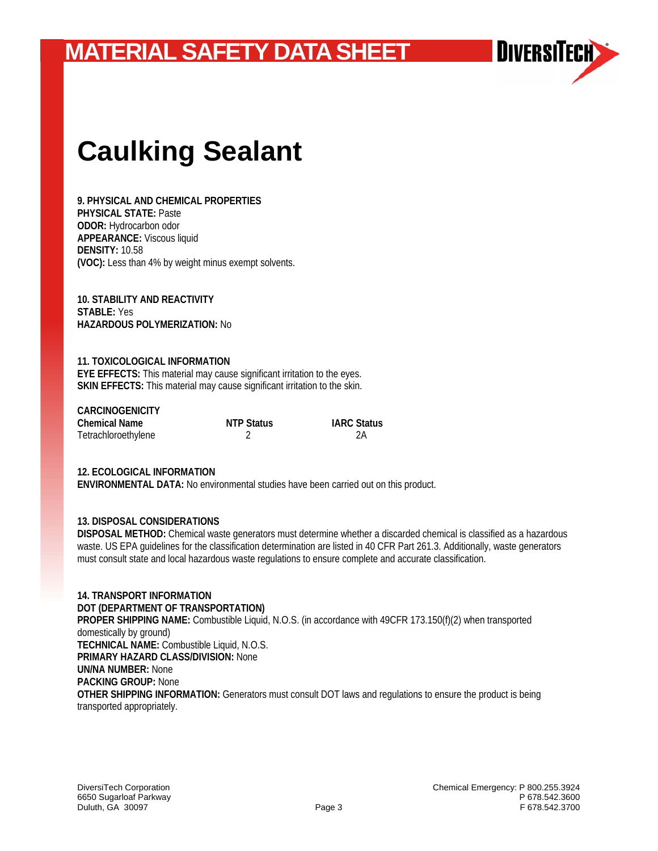

# **Caulking Sealant**

**9. PHYSICAL AND CHEMICAL PROPERTIES PHYSICAL STATE:** Paste **ODOR:** Hydrocarbon odor **APPEARANCE:** Viscous liquid **DENSITY:** 10.58 **(VOC):** Less than 4% by weight minus exempt solvents.

**10. STABILITY AND REACTIVITY STABLE:** Yes **HAZARDOUS POLYMERIZATION:** No

### **11. TOXICOLOGICAL INFORMATION**

**EYE EFFECTS:** This material may cause significant irritation to the eyes. **SKIN EFFECTS:** This material may cause significant irritation to the skin.

| <b>CARCINOGENICITY</b> |                   |                    |
|------------------------|-------------------|--------------------|
| <b>Chemical Name</b>   | <b>NTP Status</b> | <b>IARC Status</b> |
| Tetrachloroethylene    |                   | 2Α                 |

#### **12. ECOLOGICAL INFORMATION**

**ENVIRONMENTAL DATA:** No environmental studies have been carried out on this product.

#### **13. DISPOSAL CONSIDERATIONS**

**DISPOSAL METHOD:** Chemical waste generators must determine whether a discarded chemical is classified as a hazardous waste. US EPA guidelines for the classification determination are listed in 40 CFR Part 261.3. Additionally, waste generators must consult state and local hazardous waste regulations to ensure complete and accurate classification.

**14. TRANSPORT INFORMATION DOT (DEPARTMENT OF TRANSPORTATION) PROPER SHIPPING NAME:** Combustible Liquid, N.O.S. (in accordance with 49CFR 173.150(f)(2) when transported domestically by ground) **TECHNICAL NAME:** Combustible Liquid, N.O.S. **PRIMARY HAZARD CLASS/DIVISION:** None **UN/NA NUMBER:** None **PACKING GROUP:** None **OTHER SHIPPING INFORMATION:** Generators must consult DOT laws and regulations to ensure the product is being transported appropriately.